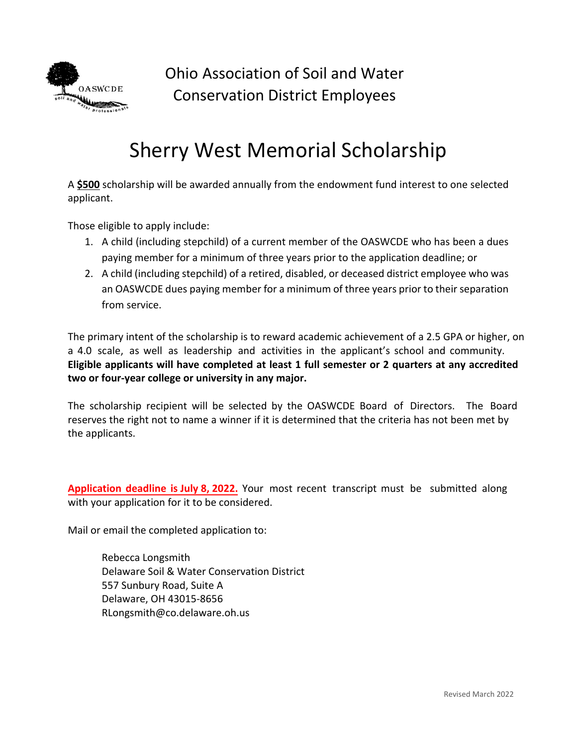

Ohio Association of Soil and Water Conservation District Employees

## Sherry West Memorial Scholarship

A **\$500** scholarship will be awarded annually from the endowment fund interest to one selected applicant.

Those eligible to apply include:

- 1. A child (including stepchild) of a current member of the OASWCDE who has been a dues paying member for a minimum of three years prior to the application deadline; or
- 2. A child (including stepchild) of a retired, disabled, or deceased district employee who was an OASWCDE dues paying member for a minimum of three years prior to their separation from service.

The primary intent of the scholarship is to reward academic achievement of a 2.5 GPA or higher, on a 4.0 scale, as well as leadership and activities in the applicant's school and community. **Eligible applicants will have completed at least 1 full semester or 2 quarters at any accredited two or four-year college or university in any major.** 

The scholarship recipient will be selected by the OASWCDE Board of Directors. The Board reserves the right not to name a winner if it is determined that the criteria has not been met by the applicants.

**Application deadline is July 8, 2022.** Your most recent transcript must be submitted along with your application for it to be considered.

Mail or email the completed application to:

Rebecca Longsmith Delaware Soil & Water Conservation District 557 Sunbury Road, Suite A Delaware, OH 43015‐8656 RLongsmith@co.delaware.oh.us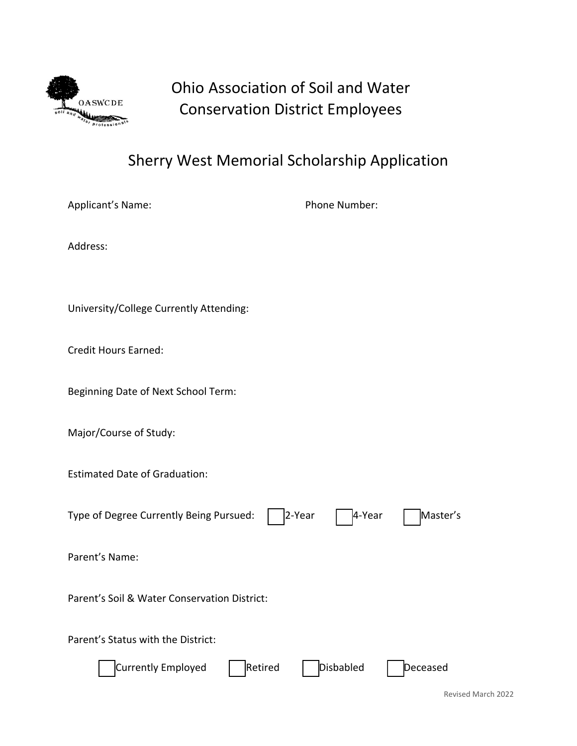

## Ohio Association of Soil and Water Conservation District Employees

## Sherry West Memorial Scholarship Application

Applicant's Name: The Contract of the Phone Number:

Address:

University/College Currently Attending:

Credit Hours Earned:

Beginning Date of Next School Term:

Major/Course of Study:

Estimated Date of Graduation:

Type of Degree Currently Being Pursued: **⃝** 2‐Year **⃝** 4‐Year **⃝** Master's

Parent's Name:

Parent's Soil & Water Conservation District:

Parent's Status with the District:

| Currently Employed | Retired | Disbabled | Deceased |  |
|--------------------|---------|-----------|----------|--|
|                    |         |           |          |  |